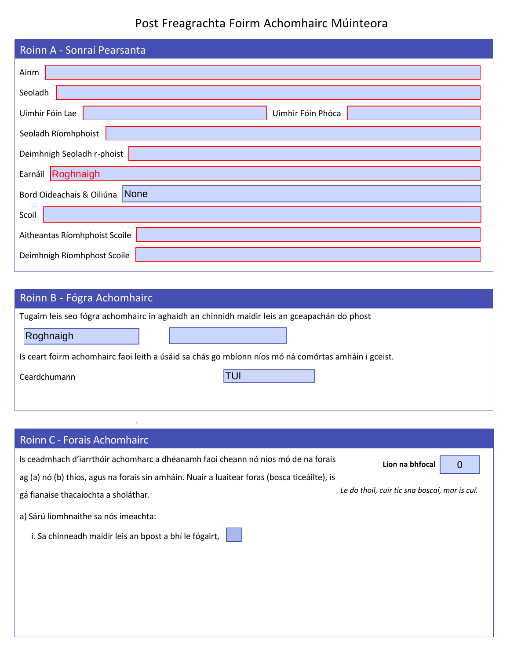## Post Freagrachta Foirm Achomhairc Múinteora

| Roinn A - Sonraí Pearsanta           |  |  |  |
|--------------------------------------|--|--|--|
| Ainm                                 |  |  |  |
| Seoladh                              |  |  |  |
| Uimhir Fóin Phóca<br>Uimhir Fóin Lae |  |  |  |
| Seoladh Ríomhphoist                  |  |  |  |
| Deimhnigh Seoladh r-phoist           |  |  |  |
| Earnáil Roghnaigh                    |  |  |  |
| Bord Oideachais & Oiliúna None       |  |  |  |
| Scoil                                |  |  |  |
| Aitheantas Ríomhphoist Scoile        |  |  |  |
| Deimhnigh Ríomhphost Scoile          |  |  |  |

## Roinn B - Fógra Achomhairc

| Tugaim leis seo fógra achomhairc in aghaidh an chinnidh maidir leis an gceapachán do phost          |     |  |  |  |
|-----------------------------------------------------------------------------------------------------|-----|--|--|--|
| Roghnaigh                                                                                           |     |  |  |  |
| Is ceart foirm achomhairc faoi leith a úsáid sa chás go mbíonn níos mó ná comórtas amháin i gceist. |     |  |  |  |
| Ceardchumann                                                                                        | TUI |  |  |  |
|                                                                                                     |     |  |  |  |

## Roinn C - Forais Achomhairc Is ceadmhach d'iarrthóir achomharc a dhéanamh faoi cheann nó níos mó de na forais ag (a) nó (b) thíos, agus na forais sin amháin. Nuair a luaitear foras (bosca ticeáilte), is gá fianaise thacaíochta a sholáthar. a) Sárú líomhnaithe sa nós imeachta: i. Sa chinneadh maidir leis an bpost a bhí le fógairt, **Líon na bhfocal** *Le do thoil, cuir tic sna boscaí, mar is cuí.* 0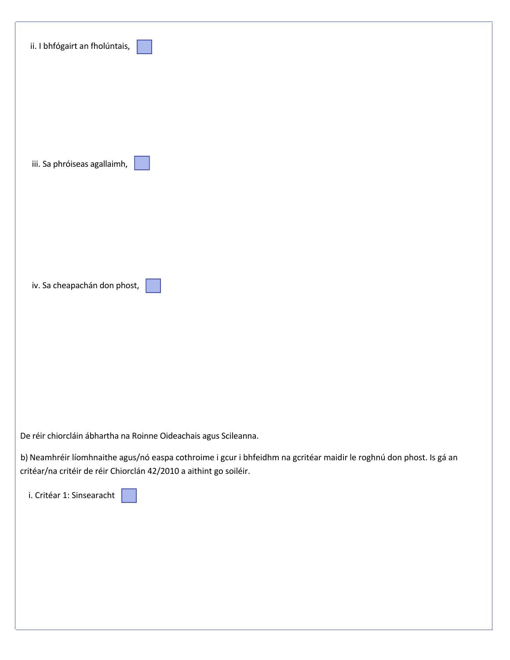| ii. I bhfógairt an fholúntais,                                                                                                                                                            |
|-------------------------------------------------------------------------------------------------------------------------------------------------------------------------------------------|
|                                                                                                                                                                                           |
| iii. Sa phróiseas agallaimh,                                                                                                                                                              |
|                                                                                                                                                                                           |
|                                                                                                                                                                                           |
| iv. Sa cheapachán don phost,                                                                                                                                                              |
|                                                                                                                                                                                           |
|                                                                                                                                                                                           |
| De réir chiorcláin ábhartha na Roinne Oideachais agus Scileanna.                                                                                                                          |
| b) Neamhréir líomhnaithe agus/nó easpa cothroime i gcur i bhfeidhm na gcritéar maidir le roghnú don phost. Is gá an<br>critéar/na critéir de réir Chiorclán 42/2010 a aithint go soiléir. |
| i. Critéar 1: Sinsearacht                                                                                                                                                                 |
|                                                                                                                                                                                           |
|                                                                                                                                                                                           |
|                                                                                                                                                                                           |